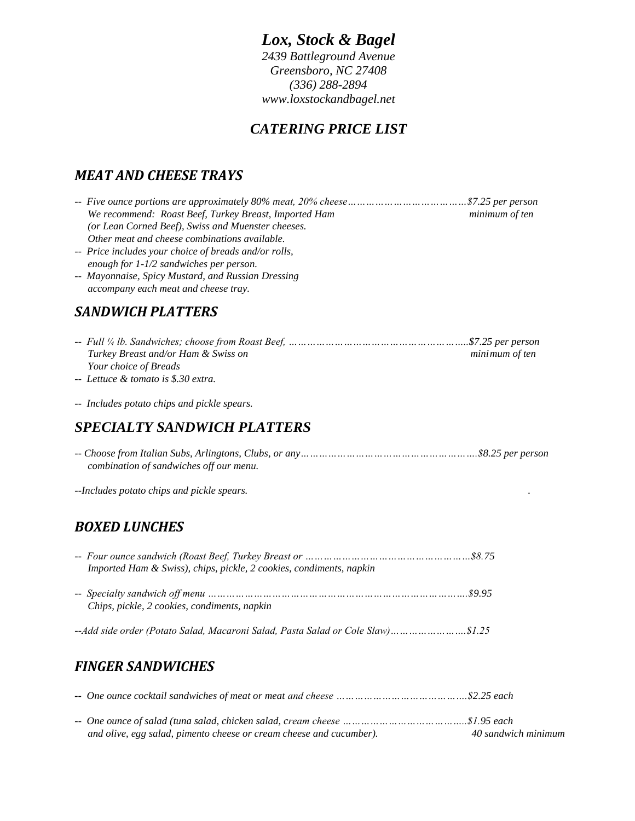# *Lox, Stock & Bagel*

*2439 Battleground Avenue Greensboro, NC 27408 (336) 288-2894 www.loxstockandbagel.net*

# *CATERING PRICE LIST*

# *MEAT AND CHEESE TRAYS*

| We recommend: Roast Beef, Turkey Breast, Imported Ham | minimum of ten |
|-------------------------------------------------------|----------------|
| (or Lean Corned Beef), Swiss and Muenster cheeses.    |                |
| Other meat and cheese combinations available.         |                |
| -- Price includes your choice of breads and/or rolls, |                |
| enough for 1-1/2 sandwiches per person.               |                |
| -- Mayonnaise, Spicy Mustard, and Russian Dressing    |                |
| accompany each meat and cheese tray.                  |                |
| <b>SANDWICH PLATTERS</b>                              |                |
|                                                       |                |
| Turkey Breast and/or Ham & Swiss on                   | minimum of ten |
| Your choice of Breads                                 |                |
| -- Lettuce & tomato is \$.30 extra.                   |                |
| -- Includes potato chips and pickle spears.           |                |
| <b>SPECIALTY SANDWICH PLATTERS</b>                    |                |
| combination of sandwiches off our menu.               |                |

*--Includes potato chips and pickle spears. .*

### *BOXED LUNCHES*

| Imported Ham & Swiss), chips, pickle, 2 cookies, condiments, napkin |  |
|---------------------------------------------------------------------|--|
| Chips, pickle, 2 cookies, condiments, napkin                        |  |
|                                                                     |  |

### *FINGER SANDWICHES*

| and olive, egg salad, pimento cheese or cream cheese and cucumber). | 40 sandwich minimum |
|---------------------------------------------------------------------|---------------------|